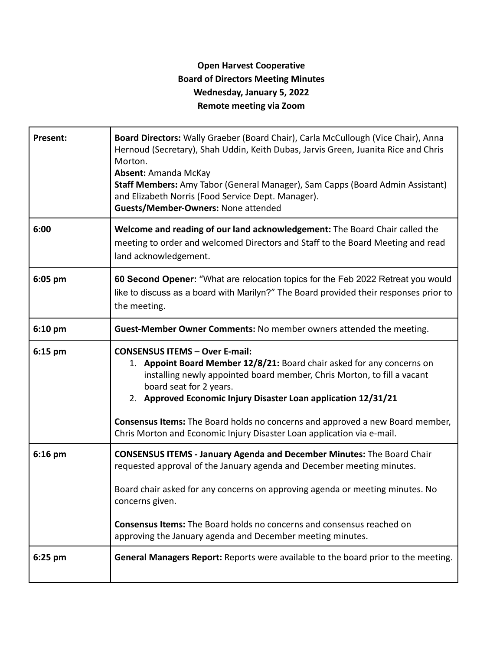## **Open Harvest Cooperative Board of Directors Meeting Minutes Wednesday, January 5, 2022 Remote meeting via Zoom**

| Present:  | Board Directors: Wally Graeber (Board Chair), Carla McCullough (Vice Chair), Anna<br>Hernoud (Secretary), Shah Uddin, Keith Dubas, Jarvis Green, Juanita Rice and Chris<br>Morton.<br><b>Absent: Amanda McKay</b><br>Staff Members: Amy Tabor (General Manager), Sam Capps (Board Admin Assistant)<br>and Elizabeth Norris (Food Service Dept. Manager).<br>Guests/Member-Owners: None attended                                                           |
|-----------|-----------------------------------------------------------------------------------------------------------------------------------------------------------------------------------------------------------------------------------------------------------------------------------------------------------------------------------------------------------------------------------------------------------------------------------------------------------|
| 6:00      | Welcome and reading of our land acknowledgement: The Board Chair called the<br>meeting to order and welcomed Directors and Staff to the Board Meeting and read<br>land acknowledgement.                                                                                                                                                                                                                                                                   |
| 6:05 pm   | 60 Second Opener: "What are relocation topics for the Feb 2022 Retreat you would<br>like to discuss as a board with Marilyn?" The Board provided their responses prior to<br>the meeting.                                                                                                                                                                                                                                                                 |
| $6:10$ pm | Guest-Member Owner Comments: No member owners attended the meeting.                                                                                                                                                                                                                                                                                                                                                                                       |
| $6:15$ pm | <b>CONSENSUS ITEMS - Over E-mail:</b><br>1. Appoint Board Member 12/8/21: Board chair asked for any concerns on<br>installing newly appointed board member, Chris Morton, to fill a vacant<br>board seat for 2 years.<br>2. Approved Economic Injury Disaster Loan application 12/31/21<br><b>Consensus Items:</b> The Board holds no concerns and approved a new Board member,<br>Chris Morton and Economic Injury Disaster Loan application via e-mail. |
| $6:16$ pm | <b>CONSENSUS ITEMS - January Agenda and December Minutes: The Board Chair</b><br>requested approval of the January agenda and December meeting minutes.<br>Board chair asked for any concerns on approving agenda or meeting minutes. No<br>concerns given.<br><b>Consensus Items:</b> The Board holds no concerns and consensus reached on<br>approving the January agenda and December meeting minutes.                                                 |
| 6:25 pm   | <b>General Managers Report:</b> Reports were available to the board prior to the meeting.                                                                                                                                                                                                                                                                                                                                                                 |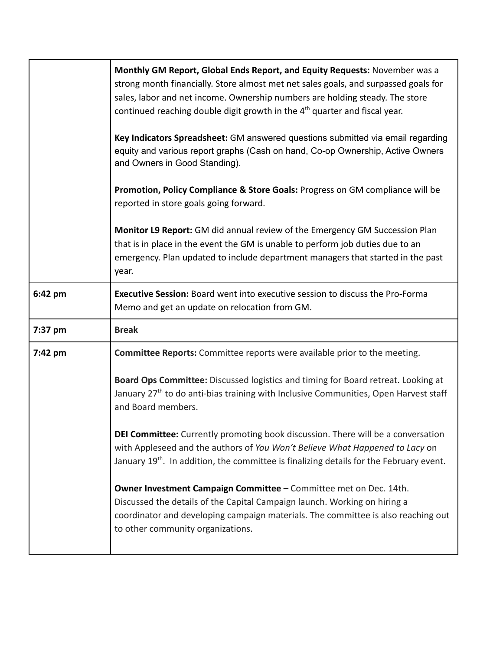|         | Monthly GM Report, Global Ends Report, and Equity Requests: November was a<br>strong month financially. Store almost met net sales goals, and surpassed goals for<br>sales, labor and net income. Ownership numbers are holding steady. The store<br>continued reaching double digit growth in the 4 <sup>th</sup> quarter and fiscal year. |
|---------|---------------------------------------------------------------------------------------------------------------------------------------------------------------------------------------------------------------------------------------------------------------------------------------------------------------------------------------------|
|         | Key Indicators Spreadsheet: GM answered questions submitted via email regarding<br>equity and various report graphs (Cash on hand, Co-op Ownership, Active Owners<br>and Owners in Good Standing).                                                                                                                                          |
|         | Promotion, Policy Compliance & Store Goals: Progress on GM compliance will be<br>reported in store goals going forward.                                                                                                                                                                                                                     |
|         | Monitor L9 Report: GM did annual review of the Emergency GM Succession Plan<br>that is in place in the event the GM is unable to perform job duties due to an<br>emergency. Plan updated to include department managers that started in the past<br>year.                                                                                   |
| 6:42 pm | Executive Session: Board went into executive session to discuss the Pro-Forma<br>Memo and get an update on relocation from GM.                                                                                                                                                                                                              |
| 7:37 pm | <b>Break</b>                                                                                                                                                                                                                                                                                                                                |
| 7:42 pm | <b>Committee Reports:</b> Committee reports were available prior to the meeting.                                                                                                                                                                                                                                                            |
|         | Board Ops Committee: Discussed logistics and timing for Board retreat. Looking at<br>January 27 <sup>th</sup> to do anti-bias training with Inclusive Communities, Open Harvest staff<br>and Board members.                                                                                                                                 |
|         | DEI Committee: Currently promoting book discussion. There will be a conversation<br>with Appleseed and the authors of You Won't Believe What Happened to Lacy on<br>January 19 <sup>th</sup> . In addition, the committee is finalizing details for the February event.                                                                     |
|         | Owner Investment Campaign Committee - Committee met on Dec. 14th.<br>Discussed the details of the Capital Campaign launch. Working on hiring a<br>coordinator and developing campaign materials. The committee is also reaching out<br>to other community organizations.                                                                    |